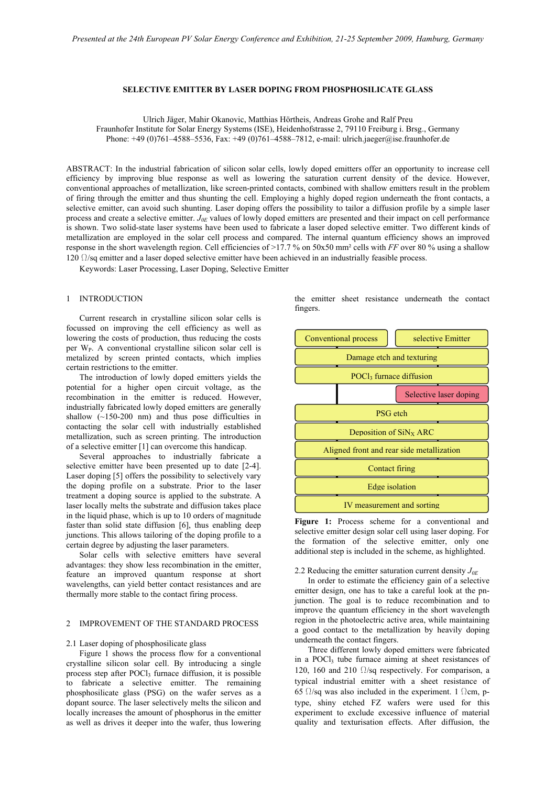### **SELECTIVE EMITTER BY LASER DOPING FROM PHOSPHOSILICATE GLASS**

Ulrich Jäger, Mahir Okanovic, Matthias Hörtheis, Andreas Grohe and Ralf Preu

Fraunhofer Institute for Solar Energy Systems (ISE), Heidenhofstrasse 2, 79110 Freiburg i. Brsg., Germany Phone: +49 (0)761–4588–5536, Fax: +49 (0)761–4588–7812, e-mail: ulrich.jaeger@ise.fraunhofer.de

ABSTRACT: In the industrial fabrication of silicon solar cells, lowly doped emitters offer an opportunity to increase cell efficiency by improving blue response as well as lowering the saturation current density of the device. However, conventional approaches of metallization, like screen-printed contacts, combined with shallow emitters result in the problem of firing through the emitter and thus shunting the cell. Employing a highly doped region underneath the front contacts, a selective emitter, can avoid such shunting. Laser doping offers the possibility to tailor a diffusion profile by a simple laser process and create a selective emitter. *J0E* values of lowly doped emitters are presented and their impact on cell performance is shown. Two solid-state laser systems have been used to fabricate a laser doped selective emitter. Two different kinds of metallization are employed in the solar cell process and compared. The internal quantum efficiency shows an improved response in the short wavelength region. Cell efficiencies of >17.7 % on 50x50 mm² cells with *FF* over 80 % using a shallow 120  $\Omega$ /sq emitter and a laser doped selective emitter have been achieved in an industrially feasible process.

Keywords: Laser Processing, Laser Doping, Selective Emitter

### 1 INTRODUCTION

Current research in crystalline silicon solar cells is focussed on improving the cell efficiency as well as lowering the costs of production, thus reducing the costs per  $W_P$ . A conventional crystalline silicon solar cell is metalized by screen printed contacts, which implies certain restrictions to the emitter.

The introduction of lowly doped emitters yields the potential for a higher open circuit voltage, as the recombination in the emitter is reduced. However, industrially fabricated lowly doped emitters are generally shallow  $(-150-200)$  nm) and thus pose difficulties in contacting the solar cell with industrially established metallization, such as screen printing. The introduction of a selective emitter [1] can overcome this handicap.

Several approaches to industrially fabricate a selective emitter have been presented up to date [2-4]. Laser doping [5] offers the possibility to selectively vary the doping profile on a substrate. Prior to the laser treatment a doping source is applied to the substrate. A laser locally melts the substrate and diffusion takes place in the liquid phase, which is up to 10 orders of magnitude faster than solid state diffusion [6], thus enabling deep junctions. This allows tailoring of the doping profile to a certain degree by adjusting the laser parameters.

Solar cells with selective emitters have several advantages: they show less recombination in the emitter, feature an improved quantum response at short wavelengths, can yield better contact resistances and are thermally more stable to the contact firing process.

## 2 IMPROVEMENT OF THE STANDARD PROCESS

#### 2.1 Laser doping of phosphosilicate glass

Figure 1 shows the process flow for a conventional crystalline silicon solar cell. By introducing a single process step after  $POCl<sub>3</sub>$  furnace diffusion, it is possible to fabricate a selective emitter. The remaining phosphosilicate glass (PSG) on the wafer serves as a dopant source. The laser selectively melts the silicon and locally increases the amount of phosphorus in the emitter as well as drives it deeper into the wafer, thus lowering

the emitter sheet resistance underneath the contact fingers.



Figure 1: Process scheme for a conventional and selective emitter design solar cell using laser doping. For the formation of the selective emitter, only one additional step is included in the scheme, as highlighted.

# 2.2 Reducing the emitter saturation current density  $J_{0E}$

In order to estimate the efficiency gain of a selective emitter design, one has to take a careful look at the pnjunction. The goal is to reduce recombination and to improve the quantum efficiency in the short wavelength region in the photoelectric active area, while maintaining a good contact to the metallization by heavily doping underneath the contact fingers.

Three different lowly doped emitters were fabricated in a POCl<sub>3</sub> tube furnace aiming at sheet resistances of 120, 160 and 210  $\Omega$ /sq respectively. For comparison, a typical industrial emitter with a sheet resistance of 65  $\Omega$ /sq was also included in the experiment. 1  $\Omega$ cm, ptype, shiny etched FZ wafers were used for this experiment to exclude excessive influence of material quality and texturisation effects. After diffusion, the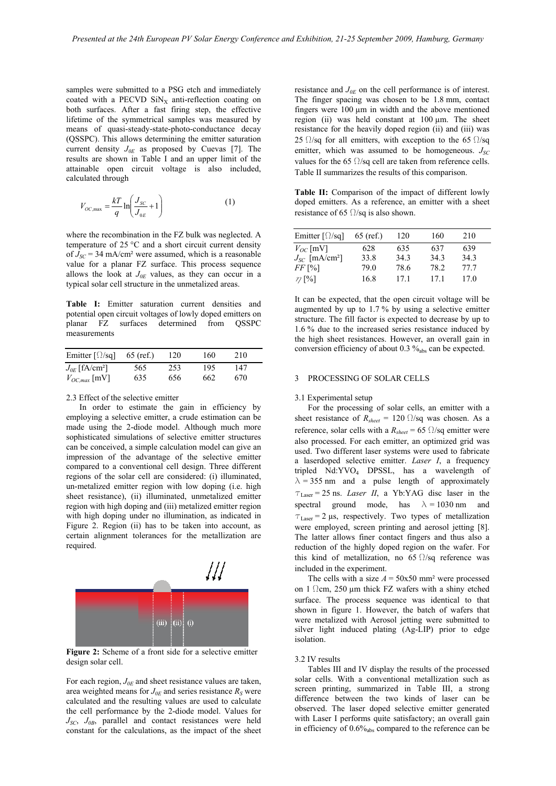samples were submitted to a PSG etch and immediately coated with a PECVD  $\text{SiN}_x$  anti-reflection coating on both surfaces. After a fast firing step, the effective lifetime of the symmetrical samples was measured by means of quasi-steady-state-photo-conductance decay (QSSPC). This allows determining the emitter saturation current density *J0E* as proposed by Cuevas [7]. The results are shown in Table I and an upper limit of the attainable open circuit voltage is also included, calculated through

$$
V_{OC, \max} = \frac{kT}{q} \ln \left( \frac{J_{SC}}{J_{0E}} + 1 \right) \tag{1}
$$

where the recombination in the FZ bulk was neglected. A temperature of 25 °C and a short circuit current density of  $J_{SC}$  = 34 mA/cm<sup>2</sup> were assumed, which is a reasonable value for a planar FZ surface. This process sequence allows the look at  $J_{0E}$  values, as they can occur in a typical solar cell structure in the unmetalized areas.

**Table I:** Emitter saturation current densities and potential open circuit voltages of lowly doped emitters on planar FZ surfaces determined from QSSPC measurements

| Emitter $\lceil \Omega / \mathsf{sq} \rceil$ | $65$ (ref.) | 120 | 160 | 210 |  |
|----------------------------------------------|-------------|-----|-----|-----|--|
| $J_{0E}$ [fA/cm <sup>2</sup> ]               | 565         | 253 | 195 | 147 |  |
| $V_{OC,max}$ [mV]                            | 635         | 656 | 662 | 670 |  |

## 2.3 Effect of the selective emitter

In order to estimate the gain in efficiency by employing a selective emitter, a crude estimation can be made using the 2-diode model. Although much more sophisticated simulations of selective emitter structures can be conceived, a simple calculation model can give an impression of the advantage of the selective emitter compared to a conventional cell design. Three different regions of the solar cell are considered: (i) illuminated, un-metalized emitter region with low doping (i.e. high sheet resistance), (ii) illuminated, unmetalized emitter region with high doping and (iii) metalized emitter region with high doping under no illumination, as indicated in Figure 2. Region (ii) has to be taken into account, as certain alignment tolerances for the metallization are required.



**Figure 2:** Scheme of a front side for a selective emitter design solar cell.

For each region,  $J_{0E}$  and sheet resistance values are taken, area weighted means for  $J_{0E}$  and series resistance  $R_S$  were calculated and the resulting values are used to calculate the cell performance by the 2-diode model. Values for *JSC*, *J0B*, parallel and contact resistances were held constant for the calculations, as the impact of the sheet resistance and *J0E* on the cell performance is of interest. The finger spacing was chosen to be 1.8 mm, contact fingers were 100 um in width and the above mentioned region (ii) was held constant at  $100 \mu m$ . The sheet resistance for the heavily doped region (ii) and (iii) was 25  $\Omega$ /sq for all emitters, with exception to the 65  $\Omega$ /sq emitter, which was assumed to be homogeneous.  $J_{SC}$ values for the 65  $\Omega$ /sq cell are taken from reference cells. Table II summarizes the results of this comparison.

**Table II:** Comparison of the impact of different lowly doped emitters. As a reference, an emitter with a sheet resistance of 65  $\Omega$ /sq is also shown.

| Emitter $\lceil \Omega / \mathsf{sq} \rceil$ | $65$ (ref.) | 120  | 160  | 210  |  |
|----------------------------------------------|-------------|------|------|------|--|
| $V_{OC}$ [mV]                                | 628         | 635  | 637  | 639  |  |
| $J_{SC}$ [mA/cm <sup>2</sup> ]               | 33.8        | 343  | 34.3 | 34.3 |  |
| $FF$ [%]                                     | 79.0        | 78.6 | 78.2 | 77.7 |  |
| $\eta$ [%]                                   | 16.8        | 17.1 | 171  | 170  |  |

It can be expected, that the open circuit voltage will be augmented by up to 1.7 % by using a selective emitter structure. The fill factor is expected to decrease by up to 1.6 % due to the increased series resistance induced by the high sheet resistances. However, an overall gain in conversion efficiency of about  $0.3 \%_{\text{abs}}$  can be expected.

### 3 PROCESSING OF SOLAR CELLS

#### 3.1 Experimental setup

For the processing of solar cells, an emitter with a sheet resistance of  $R_{sheet} = 120 \Omega/\text{sq}$  was chosen. As a reference, solar cells with a  $R_{sheet} = 65 \Omega/sq$  emitter were also processed. For each emitter, an optimized grid was used. Two different laser systems were used to fabricate a laserdoped selective emitter. *Laser I*, a frequency tripled Nd:YVO4 DPSSL, has a wavelength of  $\lambda$  = 355 nm and a pulse length of approximately  $\tau_{\text{Laser}} = 25 \text{ ns.}$  *Laser II*, a Yb:YAG disc laser in the spectral ground mode, has  $\lambda = 1030$  nm and  $\tau_{\text{Laser}} = 2 \,\mu s$ , respectively. Two types of metallization were employed, screen printing and aerosol jetting [8]. The latter allows finer contact fingers and thus also a reduction of the highly doped region on the wafer. For this kind of metallization, no 65  $\Omega$ /sq reference was included in the experiment.

The cells with a size  $A = 50x50$  mm<sup>2</sup> were processed on 1  $\Omega$ cm, 250 µm thick FZ wafers with a shiny etched surface. The process sequence was identical to that shown in figure 1. However, the batch of wafers that were metalized with Aerosol jetting were submitted to silver light induced plating (Ag-LIP) prior to edge isolation.

## 3.2 IV results

Tables III and IV display the results of the processed solar cells. With a conventional metallization such as screen printing, summarized in Table III, a strong difference between the two kinds of laser can be observed. The laser doped selective emitter generated with Laser I performs quite satisfactory; an overall gain in efficiency of  $0.6\%$ <sub>abs</sub> compared to the reference can be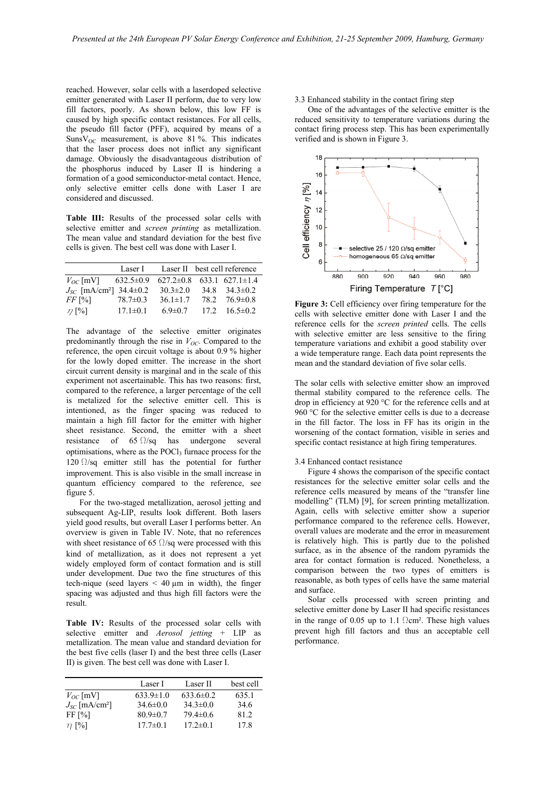reached. However, solar cells with a laserdoped selective emitter generated with Laser II perform, due to very low fill factors, poorly. As shown below, this low FF is caused by high specific contact resistances. For all cells, the pseudo fill factor (PFF), acquired by means of a Suns $V_{OC}$  measurement, is above 81%. This indicates that the laser process does not inflict any significant damage. Obviously the disadvantageous distribution of the phosphorus induced by Laser II is hindering a formation of a good semiconductor-metal contact. Hence, only selective emitter cells done with Laser I are considered and discussed.

**Table III:** Results of the processed solar cells with selective emitter and *screen printing* as metallization. The mean value and standard deviation for the best five cells is given. The best cell was done with Laser I.

|                                                  | Laser I        | Laser II best cell reference          |                       |
|--------------------------------------------------|----------------|---------------------------------------|-----------------------|
| $V_{OC}$ [mV] 632.5±0.9                          |                | $627.2 \pm 0.8$ 633.1 627.1 $\pm$ 1.4 |                       |
| $J_{\rm S}$ [mA/cm <sup>2</sup> ] 34.4 $\pm$ 0.2 |                | $30.3 \pm 2.0$                        | $34.8$ $34.3 \pm 0.2$ |
| $FF$ [%]                                         | $78.7 \pm 0.3$ | $36.1 \pm 1.7$                        | $78.2$ $76.9 \pm 0.8$ |
| $\eta$ [%]                                       | $17.1 \pm 0.1$ | 6.9 $\pm$ 0.7                         | $17.2$ $16.5 \pm 0.2$ |

The advantage of the selective emitter originates predominantly through the rise in  $V_{OC}$ . Compared to the reference, the open circuit voltage is about 0.9 % higher for the lowly doped emitter. The increase in the short circuit current density is marginal and in the scale of this experiment not ascertainable. This has two reasons: first, compared to the reference, a larger percentage of the cell is metalized for the selective emitter cell. This is intentioned, as the finger spacing was reduced to maintain a high fill factor for the emitter with higher sheet resistance. Second, the emitter with a sheet resistance of  $65 \Omega/sq$  has undergone several optimisations, where as the POCl<sub>3</sub> furnace process for the 120  $\Omega$ /sq emitter still has the potential for further improvement. This is also visible in the small increase in quantum efficiency compared to the reference, see figure 5.

 For the two-staged metallization, aerosol jetting and subsequent Ag-LIP, results look different. Both lasers yield good results, but overall Laser I performs better. An overview is given in Table IV. Note, that no references with sheet resistance of 65  $\Omega$ /sq were processed with this kind of metallization, as it does not represent a yet widely employed form of contact formation and is still under development. Due two the fine structures of this tech-nique (seed layers  $\leq 40 \,\mu m$  in width), the finger spacing was adjusted and thus high fill factors were the result.

**Table IV:** Results of the processed solar cells with selective emitter and *Aerosol jetting* + LIP as metallization. The mean value and standard deviation for the best five cells (laser I) and the best three cells (Laser II) is given. The best cell was done with Laser I.

| Laser I         | Laser II        | best cell |
|-----------------|-----------------|-----------|
| $633.9 \pm 1.0$ | $633.6 \pm 0.2$ | 635.1     |
| $34.6 \pm 0.0$  | $34.3 \pm 0.0$  | 34.6      |
| $80.9 \pm 0.7$  | $79.4 \pm 0.6$  | 812       |
| $17.7 \pm 0.1$  | $17.2 \pm 0.1$  | 17.8      |
|                 |                 |           |

3.3 Enhanced stability in the contact firing step

One of the advantages of the selective emitter is the reduced sensitivity to temperature variations during the contact firing process step. This has been experimentally verified and is shown in Figure 3.



**Figure 3:** Cell efficiency over firing temperature for the cells with selective emitter done with Laser I and the reference cells for the *screen printed* cells. The cells with selective emitter are less sensitive to the firing temperature variations and exhibit a good stability over a wide temperature range. Each data point represents the mean and the standard deviation of five solar cells.

The solar cells with selective emitter show an improved thermal stability compared to the reference cells. The drop in efficiency at 920 °C for the reference cells and at 960 °C for the selective emitter cells is due to a decrease in the fill factor. The loss in FF has its origin in the worsening of the contact formation, visible in series and specific contact resistance at high firing temperatures.

#### 3.4 Enhanced contact resistance

Figure 4 shows the comparison of the specific contact resistances for the selective emitter solar cells and the reference cells measured by means of the "transfer line modelling" (TLM) [9], for screen printing metallization. Again, cells with selective emitter show a superior performance compared to the reference cells. However, overall values are moderate and the error in measurement is relatively high. This is partly due to the polished surface, as in the absence of the random pyramids the area for contact formation is reduced. Nonetheless, a comparison between the two types of emitters is reasonable, as both types of cells have the same material and surface.

Solar cells processed with screen printing and selective emitter done by Laser II had specific resistances in the range of 0.05 up to 1.1  $\Omega$ cm<sup>2</sup>. These high values prevent high fill factors and thus an acceptable cell performance.